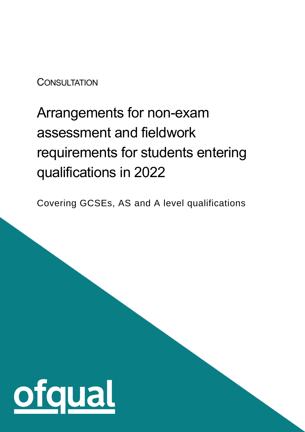### **CONSULTATION**

# Arrangements for non-exam assessment and fieldwork requirements for students entering qualifications in 2022

Covering GCSEs, AS and A level qualifications

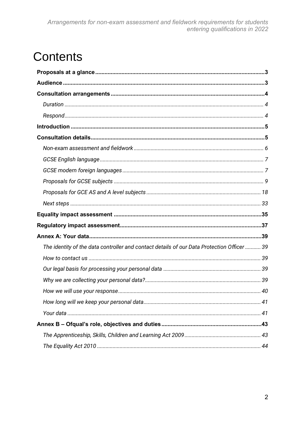# **Contents**

| The identity of the data controller and contact details of our Data Protection Officer  39 |
|--------------------------------------------------------------------------------------------|
|                                                                                            |
|                                                                                            |
|                                                                                            |
|                                                                                            |
|                                                                                            |
|                                                                                            |
|                                                                                            |
|                                                                                            |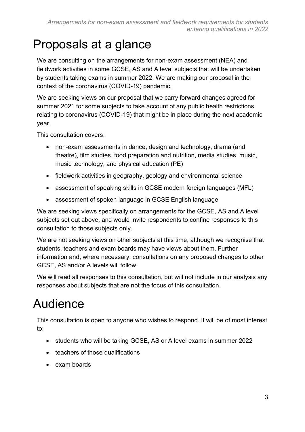# <span id="page-2-0"></span>Proposals at a glance

We are consulting on the arrangements for non-exam assessment (NEA) and fieldwork activities in some GCSE, AS and A level subjects that will be undertaken by students taking exams in summer 2022. We are making our proposal in the context of the coronavirus (COVID-19) pandemic.

We are seeking views on our proposal that we carry forward changes agreed for summer 2021 for some subjects to take account of any public health restrictions relating to coronavirus (COVID-19) that might be in place during the next academic year.

This consultation covers:

- non-exam assessments in dance, design and technology, drama (and theatre), film studies, food preparation and nutrition, media studies, music, music technology, and physical education (PE)
- fieldwork activities in geography, geology and environmental science
- assessment of speaking skills in GCSE modern foreign languages (MFL)
- assessment of spoken language in GCSE English language

We are seeking views specifically on arrangements for the GCSE, AS and A level subjects set out above, and would invite respondents to confine responses to this consultation to those subjects only.

We are not seeking views on other subiects at this time, although we recognise that students, teachers and exam boards may have views about them. Further information and, where necessary, consultations on any proposed changes to other GCSE, AS and/or A levels will follow.

We will read all responses to this consultation, but will not include in our analysis any responses about subjects that are not the focus of this consultation.

# <span id="page-2-1"></span>Audience

This consultation is open to anyone who wishes to respond. It will be of most interest to:

- students who will be taking GCSE, AS or A level exams in summer 2022
- teachers of those qualifications
- exam boards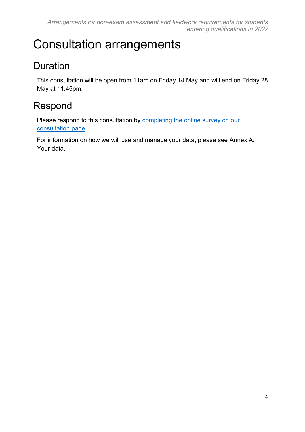# <span id="page-3-0"></span>Consultation arrangements

### <span id="page-3-1"></span>Duration

This consultation will be open from 11am on Friday 14 May and will end on Friday 28 May at 11.45pm.

### <span id="page-3-2"></span>Respond

Please respond to this consultation by [completing the](https://ofqual.citizenspace.com/public/consultation-template-2022-nea-consultation) online survey on our [consultation page.](https://ofqual.citizenspace.com/public/consultation-template-2022-nea-consultation)

For information on how we will use and manage your data, please see [Annex A:](#page-38-0)  [Your data.](#page-38-0)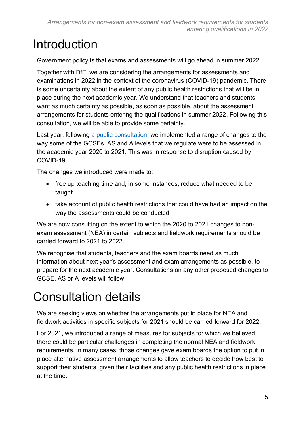# <span id="page-4-0"></span>Introduction

Government policy is that exams and assessments will go ahead in summer 2022.

Together with DfE, we are considering the arrangements for assessments and examinations in 2022 in the context of the coronavirus (COVID-19) pandemic. There is some uncertainty about the extent of any public health restrictions that will be in place during the next academic year. We understand that teachers and students want as much certainty as possible, as soon as possible, about the assessment arrangements for students entering the qualifications in summer 2022. Following this consultation, we will be able to provide some certainty.

Last year, following [a public consultation,](https://www.gov.uk/government/consultations/proposed-changes-to-the-assessment-of-gcses-as-and-a-levels-in-2021) we implemented a range of changes to the way some of the GCSEs, AS and A levels that we regulate were to be assessed in the academic year 2020 to 2021. This was in response to disruption caused by COVID-19.

The changes we introduced were made to:

- free up teaching time and, in some instances, reduce what needed to be taught
- take account of public health restrictions that could have had an impact on the way the assessments could be conducted

We are now consulting on the extent to which the 2020 to 2021 changes to nonexam assessment (NEA) in certain subjects and fieldwork requirements should be carried forward to 2021 to 2022.

We recognise that students, teachers and the exam boards need as much information about next year's assessment and exam arrangements as possible, to prepare for the next academic year. Consultations on any other proposed changes to GCSE, AS or A levels will follow.

# <span id="page-4-1"></span>Consultation details

We are seeking views on whether the arrangements put in place for NEA and fieldwork activities in specific subjects for 2021 should be carried forward for 2022.

For 2021, we introduced a range of measures for subjects for which we believed there could be particular challenges in completing the normal NEA and fieldwork requirements. In many cases, those changes gave exam boards the option to put in place alternative assessment arrangements to allow teachers to decide how best to support their students, given their facilities and any public health restrictions in place at the time.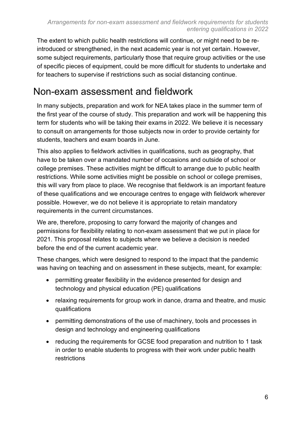The extent to which public health restrictions will continue, or might need to be reintroduced or strengthened, in the next academic year is not yet certain. However, some subject requirements, particularly those that require group activities or the use of specific pieces of equipment, could be more difficult for students to undertake and for teachers to supervise if restrictions such as social distancing continue.

### <span id="page-5-0"></span>Non-exam assessment and fieldwork

In many subjects, preparation and work for NEA takes place in the summer term of the first year of the course of study. This preparation and work will be happening this term for students who will be taking their exams in 2022. We believe it is necessary to consult on arrangements for those subjects now in order to provide certainty for students, teachers and exam boards in June.

This also applies to fieldwork activities in qualifications, such as geography, that have to be taken over a mandated number of occasions and outside of school or college premises. These activities might be difficult to arrange due to public health restrictions. While some activities might be possible on school or college premises, this will vary from place to place. We recognise that fieldwork is an important feature of these qualifications and we encourage centres to engage with fieldwork wherever possible. However, we do not believe it is appropriate to retain mandatory requirements in the current circumstances.

We are, therefore, proposing to carry forward the majority of changes and permissions for flexibility relating to non-exam assessment that we put in place for 2021. This proposal relates to subjects where we believe a decision is needed before the end of the current academic year.

These changes, which were designed to respond to the impact that the pandemic was having on teaching and on assessment in these subjects, meant, for example:

- permitting greater flexibility in the evidence presented for design and technology and physical education (PE) qualifications
- relaxing requirements for group work in dance, drama and theatre, and music qualifications
- permitting demonstrations of the use of machinery, tools and processes in design and technology and engineering qualifications
- reducing the requirements for GCSE food preparation and nutrition to 1 task in order to enable students to progress with their work under public health restrictions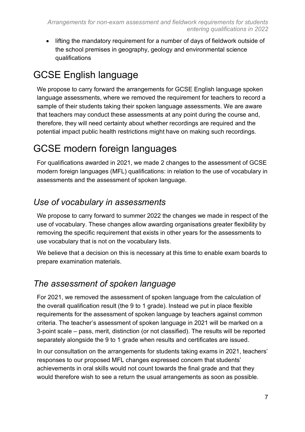• lifting the mandatory requirement for a number of days of fieldwork outside of the school premises in geography, geology and environmental science qualifications

### <span id="page-6-0"></span>GCSE English language

We propose to carry forward the arrangements for GCSE English language spoken language assessments, where we removed the requirement for teachers to record a sample of their students taking their spoken language assessments. We are aware that teachers may conduct these assessments at any point during the course and, therefore, they will need certainty about whether recordings are required and the potential impact public health restrictions might have on making such recordings.

### <span id="page-6-1"></span>GCSE modern foreign languages

For qualifications awarded in 2021, we made 2 changes to the assessment of GCSE modern foreign languages (MFL) qualifications: in relation to the use of vocabulary in assessments and the assessment of spoken language.

### *Use of vocabulary in assessments*

We propose to carry forward to summer 2022 the changes we made in respect of the use of vocabulary. These changes allow awarding organisations greater flexibility by removing the specific requirement that exists in other years for the assessments to use vocabulary that is not on the vocabulary lists.

We believe that a decision on this is necessary at this time to enable exam boards to prepare examination materials.

### *The assessment of spoken language*

For 2021, we removed the assessment of spoken language from the calculation of the overall qualification result (the 9 to 1 grade). Instead we put in place flexible requirements for the assessment of spoken language by teachers against common criteria. The teacher's assessment of spoken language in 2021 will be marked on a 3-point scale – pass, merit, distinction (or not classified). The results will be reported separately alongside the 9 to 1 grade when results and certificates are issued.

In our consultation on the arrangements for students taking exams in 2021, teachers' responses to our proposed MFL changes expressed concern that students' achievements in oral skills would not count towards the final grade and that they would therefore wish to see a return the usual arrangements as soon as possible.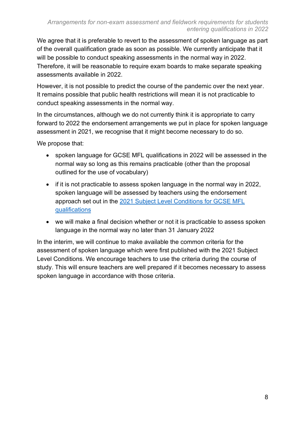We agree that it is preferable to revert to the assessment of spoken language as part of the overall qualification grade as soon as possible. We currently anticipate that it will be possible to conduct speaking assessments in the normal way in 2022. Therefore, it will be reasonable to require exam boards to make separate speaking assessments available in 2022.

However, it is not possible to predict the course of the pandemic over the next year. It remains possible that public health restrictions will mean it is not practicable to conduct speaking assessments in the normal way.

In the circumstances, although we do not currently think it is appropriate to carry forward to 2022 the endorsement arrangements we put in place for spoken language assessment in 2021, we recognise that it might become necessary to do so.

We propose that:

- spoken language for GCSE MFL qualifications in 2022 will be assessed in the normal way so long as this remains practicable (other than the proposal outlined for the use of vocabulary)
- if it is not practicable to assess spoken language in the normal way in 2022, spoken language will be assessed by teachers using the endorsement approach set out in the [2021 Subject Level Conditions for GCSE MFL](https://assets.publishing.service.gov.uk/government/uploads/system/uploads/attachment_data/file/933254/GCSE_Subject_Level_Conditions_and_Requirements_for_Modern_Foreign_Languages_and_Certificate_Requirements__2021_.pdf)  [qualifications](https://assets.publishing.service.gov.uk/government/uploads/system/uploads/attachment_data/file/933254/GCSE_Subject_Level_Conditions_and_Requirements_for_Modern_Foreign_Languages_and_Certificate_Requirements__2021_.pdf)
- we will make a final decision whether or not it is practicable to assess spoken language in the normal way no later than 31 January 2022

In the interim, we will continue to make available the common criteria for the assessment of spoken language which were first published with the 2021 Subject Level Conditions. We encourage teachers to use the criteria during the course of study. This will ensure teachers are well prepared if it becomes necessary to assess spoken language in accordance with those criteria.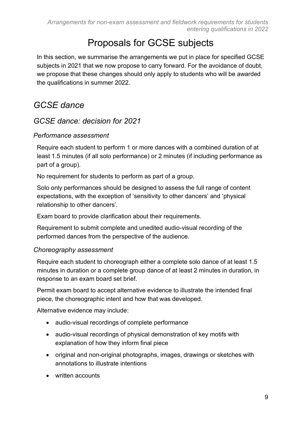### Proposals for GCSE subjects

<span id="page-8-0"></span>In this section, we summarise the arrangements we put in place for specified GCSE subjects in 2021 that we now propose to carry forward. For the avoidance of doubt, we propose that these changes should only apply to students who will be awarded the qualifications in summer 2022.

### *GCSE dance*

#### *GCSE dance: decision for 2021*

#### *Performance assessment*

Require each student to perform 1 or more dances with a combined duration of at least 1.5 minutes (if all solo performance) or 2 minutes (if including performance as part of a group).

No requirement for students to perform as part of a group.

Solo only performances should be designed to assess the full range of content expectations, with the exception of 'sensitivity to other dancers' and 'physical relationship to other dancers'.

Exam board to provide clarification about their requirements.

Requirement to submit complete and unedited audio-visual recording of the performed dances from the perspective of the audience.

#### *Choreography assessment*

Require each student to choreograph either a complete solo dance of at least 1.5 minutes in duration or a complete group dance of at least 2 minutes in duration, in response to an exam board set brief.

Permit exam board to accept alternative evidence to illustrate the intended final piece, the choreographic intent and how that was developed.

Alternative evidence may include:

- audio-visual recordings of complete performance
- audio-visual recordings of physical demonstration of key motifs with explanation of how they inform final piece
- original and non-original photographs, images, drawings or sketches with annotations to illustrate intentions
- written accounts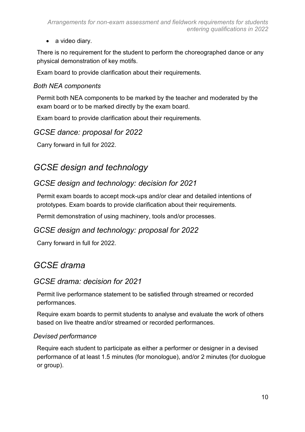• a video diary.

There is no requirement for the student to perform the choreographed dance or any physical demonstration of key motifs.

Exam board to provide clarification about their requirements.

#### *Both NEA components*

Permit both NEA components to be marked by the teacher and moderated by the exam board or to be marked directly by the exam board.

Exam board to provide clarification about their requirements.

#### *GCSE dance: proposal for 2022*

Carry forward in full for 2022.

### *GCSE design and technology*

### *GCSE design and technology: decision for 2021*

Permit exam boards to accept mock-ups and/or clear and detailed intentions of prototypes. Exam boards to provide clarification about their requirements.

Permit demonstration of using machinery, tools and/or processes.

### *GCSE design and technology: proposal for 2022*

Carry forward in full for 2022.

### *GCSE drama*

### *GCSE drama: decision for 2021*

Permit live performance statement to be satisfied through streamed or recorded performances.

Require exam boards to permit students to analyse and evaluate the work of others based on live theatre and/or streamed or recorded performances.

#### *Devised performance*

Require each student to participate as either a performer or designer in a devised performance of at least 1.5 minutes (for monologue), and/or 2 minutes (for duologue or group).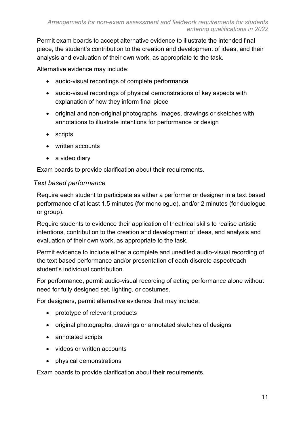Permit exam boards to accept alternative evidence to illustrate the intended final piece, the student's contribution to the creation and development of ideas, and their analysis and evaluation of their own work, as appropriate to the task.

Alternative evidence may include:

- audio-visual recordings of complete performance
- audio-visual recordings of physical demonstrations of key aspects with explanation of how they inform final piece
- original and non-original photographs, images, drawings or sketches with annotations to illustrate intentions for performance or design
- scripts
- written accounts
- a video diary

Exam boards to provide clarification about their requirements.

#### *Text based performance*

Require each student to participate as either a performer or designer in a text based performance of at least 1.5 minutes (for monologue), and/or 2 minutes (for duologue or group).

Require students to evidence their application of theatrical skills to realise artistic intentions, contribution to the creation and development of ideas, and analysis and evaluation of their own work, as appropriate to the task.

Permit evidence to include either a complete and unedited audio-visual recording of the text based performance and/or presentation of each discrete aspect/each student's individual contribution.

For performance, permit audio-visual recording of acting performance alone without need for fully designed set, lighting, or costumes.

For designers, permit alternative evidence that may include:

- prototype of relevant products
- original photographs, drawings or annotated sketches of designs
- annotated scripts
- videos or written accounts
- physical demonstrations

Exam boards to provide clarification about their requirements.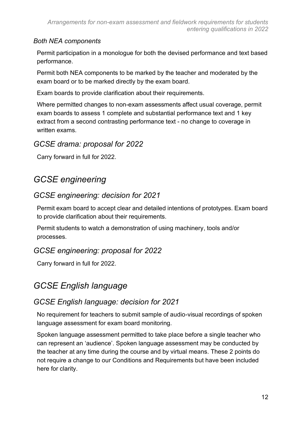#### *Both NEA components*

Permit participation in a monologue for both the devised performance and text based performance.

Permit both NEA components to be marked by the teacher and moderated by the exam board or to be marked directly by the exam board.

Exam boards to provide clarification about their requirements.

Where permitted changes to non-exam assessments affect usual coverage, permit exam boards to assess 1 complete and substantial performance text and 1 key extract from a second contrasting performance text - no change to coverage in written exams.

### *GCSE drama: proposal for 2022*

Carry forward in full for 2022.

### *GCSE engineering*

### *GCSE engineering: decision for 2021*

Permit exam board to accept clear and detailed intentions of prototypes. Exam board to provide clarification about their requirements.

Permit students to watch a demonstration of using machinery, tools and/or processes.

### *GCSE engineering: proposal for 2022*

Carry forward in full for 2022.

### *GCSE English language*

### *GCSE English language: decision for 2021*

No requirement for teachers to submit sample of audio-visual recordings of spoken language assessment for exam board monitoring.

Spoken language assessment permitted to take place before a single teacher who can represent an 'audience'. Spoken language assessment may be conducted by the teacher at any time during the course and by virtual means. These 2 points do not require a change to our Conditions and Requirements but have been included here for clarity.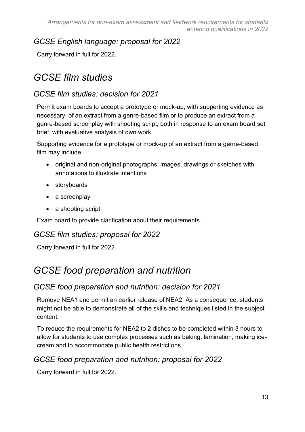### *GCSE English language: proposal for 2022*

Carry forward in full for 2022.

### *GCSE film studies*

### *GCSE film studies: decision for 2021*

Permit exam boards to accept a prototype or mock-up, with supporting evidence as necessary, of an extract from a genre-based film or to produce an extract from a genre-based screenplay with shooting script, both in response to an exam board set brief, with evaluative analysis of own work.

Supporting evidence for a prototype or mock-up of an extract from a genre-based film may include:

- original and non-original photographs, images, drawings or sketches with annotations to illustrate intentions
- storyboards
- a screenplay
- a shooting script

Exam board to provide clarification about their requirements.

#### *GCSE film studies: proposal for 2022*

Carry forward in full for 2022.

### *GCSE food preparation and nutrition*

### *GCSE food preparation and nutrition: decision for 2021*

Remove NEA1 and permit an earlier release of NEA2. As a consequence, students might not be able to demonstrate all of the skills and techniques listed in the subject content.

To reduce the requirements for NEA2 to 2 dishes to be completed within 3 hours to allow for students to use complex processes such as baking, lamination, making icecream and to accommodate public health restrictions.

### *GCSE food preparation and nutrition: proposal for 2022*

Carry forward in full for 2022.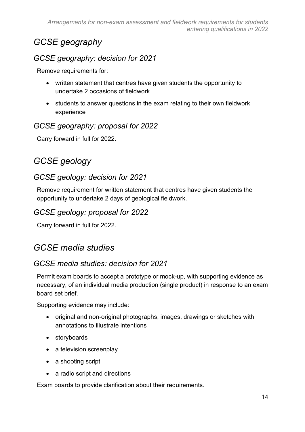### *GCSE geography*

### *GCSE geography: decision for 2021*

Remove requirements for:

- written statement that centres have given students the opportunity to undertake 2 occasions of fieldwork
- students to answer questions in the exam relating to their own fieldwork experience

### *GCSE geography: proposal for 2022*

Carry forward in full for 2022.

### *GCSE geology*

### *GCSE geology: decision for 2021*

Remove requirement for written statement that centres have given students the opportunity to undertake 2 days of geological fieldwork.

### *GCSE geology: proposal for 2022*

Carry forward in full for 2022.

### *GCSE media studies*

### *GCSE media studies: decision for 2021*

Permit exam boards to accept a prototype or mock-up, with supporting evidence as necessary, of an individual media production (single product) in response to an exam board set brief.

Supporting evidence may include:

- original and non-original photographs, images, drawings or sketches with annotations to illustrate intentions
- storyboards
- a television screenplay
- a shooting script
- a radio script and directions

Exam boards to provide clarification about their requirements.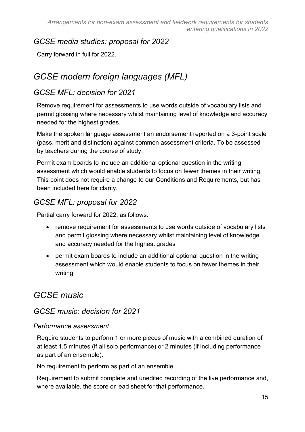### *GCSE media studies: proposal for 2022*

Carry forward in full for 2022.

### *GCSE modern foreign languages (MFL)*

### *GCSE MFL: decision for 2021*

Remove requirement for assessments to use words outside of vocabulary lists and permit glossing where necessary whilst maintaining level of knowledge and accuracy needed for the highest grades.

Make the spoken language assessment an endorsement reported on a 3-point scale (pass, merit and distinction) against common assessment criteria. To be assessed by teachers during the course of study.

Permit exam boards to include an additional optional question in the writing assessment which would enable students to focus on fewer themes in their writing. This point does not require a change to our Conditions and Requirements, but has been included here for clarity.

### *GCSE MFL: proposal for 2022*

Partial carry forward for 2022, as follows:

- remove requirement for assessments to use words outside of vocabulary lists and permit glossing where necessary whilst maintaining level of knowledge and accuracy needed for the highest grades
- permit exam boards to include an additional optional question in the writing assessment which would enable students to focus on fewer themes in their writing

### *GCSE music*

### *GCSE music: decision for 2021*

#### *Performance assessment*

Require students to perform 1 or more pieces of music with a combined duration of at least 1.5 minutes (if all solo performance) or 2 minutes (if including performance as part of an ensemble).

No requirement to perform as part of an ensemble.

Requirement to submit complete and unedited recording of the live performance and, where available, the score or lead sheet for that performance.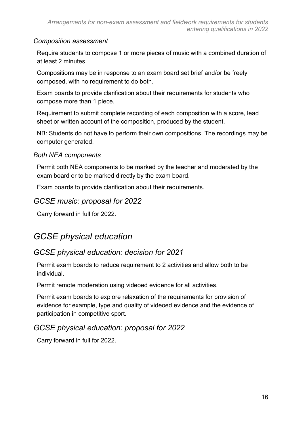#### *Composition assessment*

Require students to compose 1 or more pieces of music with a combined duration of at least 2 minutes.

Compositions may be in response to an exam board set brief and/or be freely composed, with no requirement to do both.

Exam boards to provide clarification about their requirements for students who compose more than 1 piece.

Requirement to submit complete recording of each composition with a score, lead sheet or written account of the composition, produced by the student.

NB: Students do not have to perform their own compositions. The recordings may be computer generated.

#### *Both NEA components*

Permit both NEA components to be marked by the teacher and moderated by the exam board or to be marked directly by the exam board.

Exam boards to provide clarification about their requirements.

#### *GCSE music: proposal for 2022*

Carry forward in full for 2022.

### *GCSE physical education*

### *GCSE physical education: decision for 2021*

Permit exam boards to reduce requirement to 2 activities and allow both to be individual.

Permit remote moderation using videoed evidence for all activities.

Permit exam boards to explore relaxation of the requirements for provision of evidence for example, type and quality of videoed evidence and the evidence of participation in competitive sport.

#### *GCSE physical education: proposal for 2022*

Carry forward in full for 2022.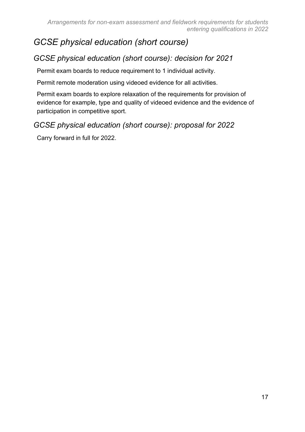### *GCSE physical education (short course)*

### *GCSE physical education (short course): decision for 2021*

Permit exam boards to reduce requirement to 1 individual activity.

Permit remote moderation using videoed evidence for all activities.

Permit exam boards to explore relaxation of the requirements for provision of evidence for example, type and quality of videoed evidence and the evidence of participation in competitive sport.

#### *GCSE physical education (short course): proposal for 2022*

Carry forward in full for 2022.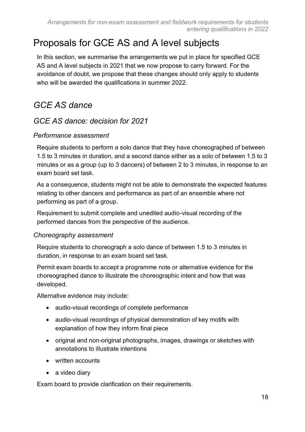### <span id="page-17-0"></span>Proposals for GCE AS and A level subjects

In this section, we summarise the arrangements we put in place for specified GCE AS and A level subjects in 2021 that we now propose to carry forward. For the avoidance of doubt, we propose that these changes should only apply to students who will be awarded the qualifications in summer 2022.

### *GCE AS dance*

#### *GCE AS dance: decision for 2021*

#### *Performance assessment*

Require students to perform a solo dance that they have choreographed of between 1.5 to 3 minutes in duration, and a second dance either as a solo of between 1.5 to 3 minutes or as a group (up to 3 dancers) of between 2 to 3 minutes, in response to an exam board set task.

As a consequence, students might not be able to demonstrate the expected features relating to other dancers and performance as part of an ensemble where not performing as part of a group.

Requirement to submit complete and unedited audio-visual recording of the performed dances from the perspective of the audience.

#### *Choreography assessment*

Require students to choreograph a solo dance of between 1.5 to 3 minutes in duration, in response to an exam board set task.

Permit exam boards to accept a programme note or alternative evidence for the choreographed dance to illustrate the choreographic intent and how that was developed.

Alternative evidence may include:

- audio-visual recordings of complete performance
- audio-visual recordings of physical demonstration of key motifs with explanation of how they inform final piece
- original and non-original photographs, images, drawings or sketches with annotations to illustrate intentions
- written accounts
- a video diary

Exam board to provide clarification on their requirements.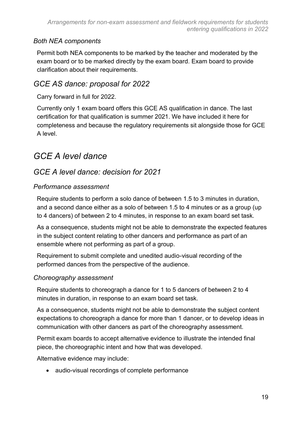#### *Both NEA components*

Permit both NEA components to be marked by the teacher and moderated by the exam board or to be marked directly by the exam board. Exam board to provide clarification about their requirements.

### *GCE AS dance: proposal for 2022*

Carry forward in full for 2022.

Currently only 1 exam board offers this GCE AS qualification in dance. The last certification for that qualification is summer 2021. We have included it here for completeness and because the regulatory requirements sit alongside those for GCE A level.

### *GCE A level dance*

### *GCE A level dance: decision for 2021*

#### *Performance assessment*

Require students to perform a solo dance of between 1.5 to 3 minutes in duration, and a second dance either as a solo of between 1.5 to 4 minutes or as a group (up to 4 dancers) of between 2 to 4 minutes, in response to an exam board set task.

As a consequence, students might not be able to demonstrate the expected features in the subject content relating to other dancers and performance as part of an ensemble where not performing as part of a group.

Requirement to submit complete and unedited audio-visual recording of the performed dances from the perspective of the audience.

#### *Choreography assessment*

Require students to choreograph a dance for 1 to 5 dancers of between 2 to 4 minutes in duration, in response to an exam board set task.

As a consequence, students might not be able to demonstrate the subject content expectations to choreograph a dance for more than 1 dancer, or to develop ideas in communication with other dancers as part of the choreography assessment.

Permit exam boards to accept alternative evidence to illustrate the intended final piece, the choreographic intent and how that was developed.

Alternative evidence may include:

• audio-visual recordings of complete performance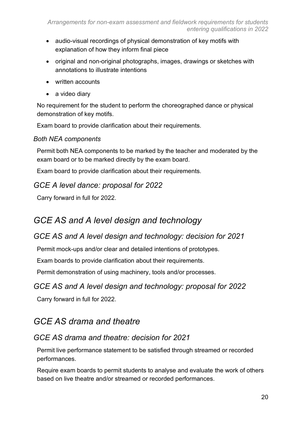- audio-visual recordings of physical demonstration of key motifs with explanation of how they inform final piece
- original and non-original photographs, images, drawings or sketches with annotations to illustrate intentions
- written accounts
- a video diary

No requirement for the student to perform the choreographed dance or physical demonstration of key motifs.

Exam board to provide clarification about their requirements.

#### *Both NEA components*

Permit both NEA components to be marked by the teacher and moderated by the exam board or to be marked directly by the exam board.

Exam board to provide clarification about their requirements.

### *GCE A level dance: proposal for 2022*

Carry forward in full for 2022.

### *GCE AS and A level design and technology*

### *GCE AS and A level design and technology: decision for 2021*

Permit mock-ups and/or clear and detailed intentions of prototypes.

Exam boards to provide clarification about their requirements.

Permit demonstration of using machinery, tools and/or processes.

### *GCE AS and A level design and technology: proposal for 2022*

Carry forward in full for 2022.

### *GCE AS drama and theatre*

### *GCE AS drama and theatre: decision for 2021*

Permit live performance statement to be satisfied through streamed or recorded performances.

Require exam boards to permit students to analyse and evaluate the work of others based on live theatre and/or streamed or recorded performances.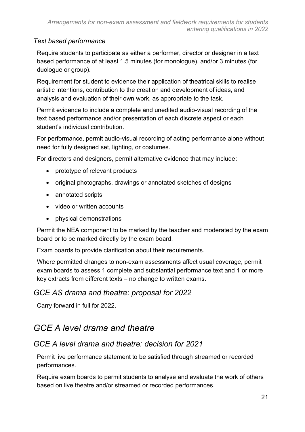#### *Text based performance*

Require students to participate as either a performer, director or designer in a text based performance of at least 1.5 minutes (for monologue), and/or 3 minutes (for duologue or group).

Requirement for student to evidence their application of theatrical skills to realise artistic intentions, contribution to the creation and development of ideas, and analysis and evaluation of their own work, as appropriate to the task.

Permit evidence to include a complete and unedited audio-visual recording of the text based performance and/or presentation of each discrete aspect or each student's individual contribution.

For performance, permit audio-visual recording of acting performance alone without need for fully designed set, lighting, or costumes.

For directors and designers, permit alternative evidence that may include:

- prototype of relevant products
- original photographs, drawings or annotated sketches of designs
- annotated scripts
- video or written accounts
- physical demonstrations

Permit the NEA component to be marked by the teacher and moderated by the exam board or to be marked directly by the exam board.

Exam boards to provide clarification about their requirements.

Where permitted changes to non-exam assessments affect usual coverage, permit exam boards to assess 1 complete and substantial performance text and 1 or more key extracts from different texts – no change to written exams.

#### *GCE AS drama and theatre: proposal for 2022*

Carry forward in full for 2022.

### *GCE A level drama and theatre*

#### *GCE A level drama and theatre: decision for 2021*

Permit live performance statement to be satisfied through streamed or recorded performances.

Require exam boards to permit students to analyse and evaluate the work of others based on live theatre and/or streamed or recorded performances.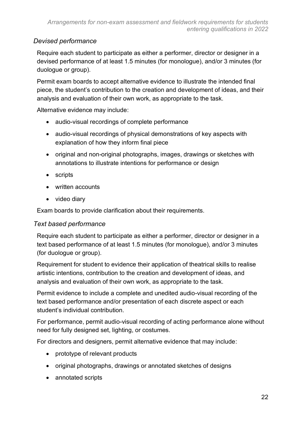#### *Devised performance*

Require each student to participate as either a performer, director or designer in a devised performance of at least 1.5 minutes (for monologue), and/or 3 minutes (for duologue or group).

Permit exam boards to accept alternative evidence to illustrate the intended final piece, the student's contribution to the creation and development of ideas, and their analysis and evaluation of their own work, as appropriate to the task.

Alternative evidence may include:

- audio-visual recordings of complete performance
- audio-visual recordings of physical demonstrations of key aspects with explanation of how they inform final piece
- original and non-original photographs, images, drawings or sketches with annotations to illustrate intentions for performance or design
- scripts
- written accounts
- video diary

Exam boards to provide clarification about their requirements.

#### *Text based performance*

Require each student to participate as either a performer, director or designer in a text based performance of at least 1.5 minutes (for monologue), and/or 3 minutes (for duologue or group).

Requirement for student to evidence their application of theatrical skills to realise artistic intentions, contribution to the creation and development of ideas, and analysis and evaluation of their own work, as appropriate to the task.

Permit evidence to include a complete and unedited audio-visual recording of the text based performance and/or presentation of each discrete aspect or each student's individual contribution.

For performance, permit audio-visual recording of acting performance alone without need for fully designed set, lighting, or costumes.

For directors and designers, permit alternative evidence that may include:

- prototype of relevant products
- original photographs, drawings or annotated sketches of designs
- annotated scripts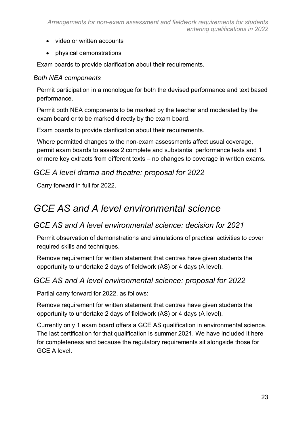- video or written accounts
- physical demonstrations

Exam boards to provide clarification about their requirements.

#### *Both NEA components*

Permit participation in a monologue for both the devised performance and text based performance.

Permit both NEA components to be marked by the teacher and moderated by the exam board or to be marked directly by the exam board.

Exam boards to provide clarification about their requirements.

Where permitted changes to the non-exam assessments affect usual coverage, permit exam boards to assess 2 complete and substantial performance texts and 1 or more key extracts from different texts – no changes to coverage in written exams.

#### *GCE A level drama and theatre: proposal for 2022*

Carry forward in full for 2022.

### *GCE AS and A level environmental science*

#### *GCE AS and A level environmental science: decision for 2021*

Permit observation of demonstrations and simulations of practical activities to cover required skills and techniques.

Remove requirement for written statement that centres have given students the opportunity to undertake 2 days of fieldwork (AS) or 4 days (A level).

#### *GCE AS and A level environmental science: proposal for 2022*

Partial carry forward for 2022, as follows:

Remove requirement for written statement that centres have given students the opportunity to undertake 2 days of fieldwork (AS) or 4 days (A level).

Currently only 1 exam board offers a GCE AS qualification in environmental science. The last certification for that qualification is summer 2021. We have included it here for completeness and because the regulatory requirements sit alongside those for GCE A level.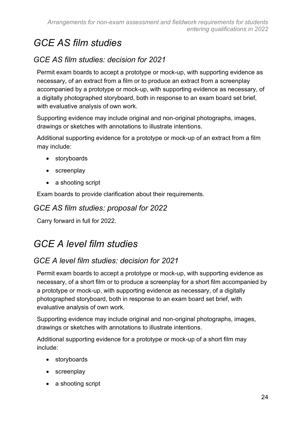### *GCE AS film studies*

### *GCE AS film studies: decision for 2021*

Permit exam boards to accept a prototype or mock-up, with supporting evidence as necessary, of an extract from a film or to produce an extract from a screenplay accompanied by a prototype or mock-up, with supporting evidence as necessary, of a digitally photographed storyboard, both in response to an exam board set brief, with evaluative analysis of own work.

Supporting evidence may include original and non-original photographs, images, drawings or sketches with annotations to illustrate intentions.

Additional supporting evidence for a prototype or mock-up of an extract from a film may include:

- storyboards
- screenplay
- a shooting script

Exam boards to provide clarification about their requirements.

#### *GCE AS film studies: proposal for 2022*

Carry forward in full for 2022.

### *GCE A level film studies*

### *GCE A level film studies: decision for 2021*

Permit exam boards to accept a prototype or mock-up, with supporting evidence as necessary, of a short film or to produce a screenplay for a short film accompanied by a prototype or mock-up, with supporting evidence as necessary, of a digitally photographed storyboard, both in response to an exam board set brief, with evaluative analysis of own work.

Supporting evidence may include original and non-original photographs, images, drawings or sketches with annotations to illustrate intentions.

Additional supporting evidence for a prototype or mock-up of a short film may include:

- storyboards
- screenplay
- a shooting script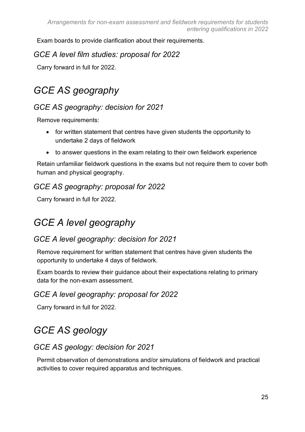Exam boards to provide clarification about their requirements.

#### *GCE A level film studies: proposal for 2022*

Carry forward in full for 2022.

### *GCE AS geography*

### *GCE AS geography: decision for 2021*

Remove requirements:

- for written statement that centres have given students the opportunity to undertake 2 days of fieldwork
- to answer questions in the exam relating to their own fieldwork experience

Retain unfamiliar fieldwork questions in the exams but not require them to cover both human and physical geography.

### *GCE AS geography: proposal for 2022*

Carry forward in full for 2022.

### *GCE A level geography*

### *GCE A level geography: decision for 2021*

Remove requirement for written statement that centres have given students the opportunity to undertake 4 days of fieldwork.

Exam boards to review their guidance about their expectations relating to primary data for the non-exam assessment.

### *GCE A level geography: proposal for 2022*

Carry forward in full for 2022.

### *GCE AS geology*

### *GCE AS geology: decision for 2021*

Permit observation of demonstrations and/or simulations of fieldwork and practical activities to cover required apparatus and techniques.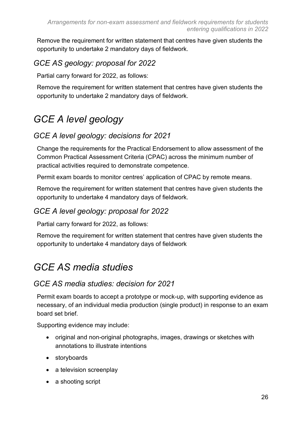Remove the requirement for written statement that centres have given students the opportunity to undertake 2 mandatory days of fieldwork.

### *GCE AS geology: proposal for 2022*

Partial carry forward for 2022, as follows:

Remove the requirement for written statement that centres have given students the opportunity to undertake 2 mandatory days of fieldwork.

### *GCE A level geology*

### *GCE A level geology: decisions for 2021*

Change the requirements for the Practical Endorsement to allow assessment of the Common Practical Assessment Criteria (CPAC) across the minimum number of practical activities required to demonstrate competence.

Permit exam boards to monitor centres' application of CPAC by remote means.

Remove the requirement for written statement that centres have given students the opportunity to undertake 4 mandatory days of fieldwork.

### *GCE A level geology: proposal for 2022*

Partial carry forward for 2022, as follows:

Remove the requirement for written statement that centres have given students the opportunity to undertake 4 mandatory days of fieldwork

### *GCE AS media studies*

### *GCE AS media studies: decision for 2021*

Permit exam boards to accept a prototype or mock-up, with supporting evidence as necessary, of an individual media production (single product) in response to an exam board set brief.

Supporting evidence may include:

- original and non-original photographs, images, drawings or sketches with annotations to illustrate intentions
- storyboards
- a television screenplay
- a shooting script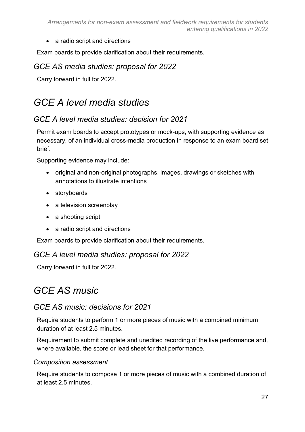• a radio script and directions

Exam boards to provide clarification about their requirements.

#### *GCE AS media studies: proposal for 2022*

Carry forward in full for 2022.

### *GCE A level media studies*

### *GCE A level media studies: decision for 2021*

Permit exam boards to accept prototypes or mock-ups, with supporting evidence as necessary, of an individual cross-media production in response to an exam board set brief.

Supporting evidence may include:

- original and non-original photographs, images, drawings or sketches with annotations to illustrate intentions
- storyboards
- a television screenplay
- a shooting script
- a radio script and directions

Exam boards to provide clarification about their requirements.

#### *GCE A level media studies: proposal for 2022*

Carry forward in full for 2022.

### *GCE AS music*

#### *GCE AS music: decisions for 2021*

Require students to perform 1 or more pieces of music with a combined minimum duration of at least 2.5 minutes.

Requirement to submit complete and unedited recording of the live performance and, where available, the score or lead sheet for that performance.

#### *Composition assessment*

Require students to compose 1 or more pieces of music with a combined duration of at least 2.5 minutes.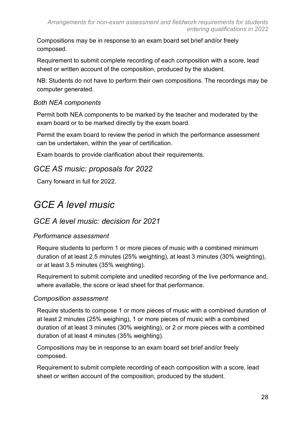Compositions may be in response to an exam board set brief and/or freely composed.

Requirement to submit complete recording of each composition with a score, lead sheet or written account of the composition, produced by the student.

NB: Students do not have to perform their own compositions. The recordings may be computer generated.

#### *Both NEA components*

Permit both NEA components to be marked by the teacher and moderated by the exam board or to be marked directly by the exam board.

Permit the exam board to review the period in which the performance assessment can be undertaken, within the year of certification.

Exam boards to provide clarification about their requirements.

### *GCE AS music: proposals for 2022*

Carry forward in full for 2022.

### *GCE A level music*

#### *GCE A level music: decision for 2021*

#### *Performance assessment*

Require students to perform 1 or more pieces of music with a combined minimum duration of at least 2.5 minutes (25% weighting), at least 3 minutes (30% weighting), or at least 3.5 minutes (35% weighting).

Requirement to submit complete and unedited recording of the live performance and, where available, the score or lead sheet for that performance.

#### *Composition assessment*

Require students to compose 1 or more pieces of music with a combined duration of at least 2 minutes (25% weighing), 1 or more pieces of music with a combined duration of at least 3 minutes (30% weighting), or 2 or more pieces with a combined duration of at least 4 minutes (35% weighting).

Compositions may be in response to an exam board set brief and/or freely composed.

Requirement to submit complete recording of each composition with a score, lead sheet or written account of the composition, produced by the student.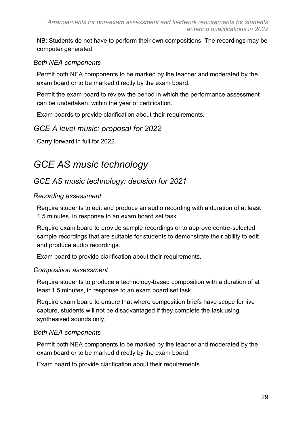NB: Students do not have to perform their own compositions. The recordings may be computer generated.

#### *Both NEA components*

Permit both NEA components to be marked by the teacher and moderated by the exam board or to be marked directly by the exam board.

Permit the exam board to review the period in which the performance assessment can be undertaken, within the year of certification.

Exam boards to provide clarification about their requirements.

#### *GCE A level music: proposal for 2022*

Carry forward in full for 2022.

### *GCE AS music technology*

### *GCE AS music technology: decision for 2021*

#### *Recording assessment*

Require students to edit and produce an audio recording with a duration of at least 1.5 minutes, in response to an exam board set task.

Require exam board to provide sample recordings or to approve centre-selected sample recordings that are suitable for students to demonstrate their ability to edit and produce audio recordings.

Exam board to provide clarification about their requirements.

#### *Composition assessment*

Require students to produce a technology-based composition with a duration of at least 1.5 minutes, in response to an exam board set task.

Require exam board to ensure that where composition briefs have scope for live capture, students will not be disadvantaged if they complete the task using synthesised sounds only.

#### *Both NEA components*

Permit both NEA components to be marked by the teacher and moderated by the exam board or to be marked directly by the exam board.

Exam board to provide clarification about their requirements.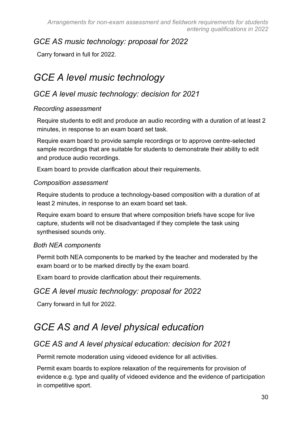### *GCE AS music technology: proposal for 2022*

Carry forward in full for 2022.

### *GCE A level music technology*

### *GCE A level music technology: decision for 2021*

#### *Recording assessment*

Require students to edit and produce an audio recording with a duration of at least 2 minutes, in response to an exam board set task.

Require exam board to provide sample recordings or to approve centre-selected sample recordings that are suitable for students to demonstrate their ability to edit and produce audio recordings.

Exam board to provide clarification about their requirements.

#### *Composition assessment*

Require students to produce a technology-based composition with a duration of at least 2 minutes, in response to an exam board set task.

Require exam board to ensure that where composition briefs have scope for live capture, students will not be disadvantaged if they complete the task using synthesised sounds only.

#### *Both NEA components*

Permit both NEA components to be marked by the teacher and moderated by the exam board or to be marked directly by the exam board.

Exam board to provide clarification about their requirements.

### *GCE A level music technology: proposal for 2022*

Carry forward in full for 2022.

### *GCE AS and A level physical education*

### *GCE AS and A level physical education: decision for 2021*

Permit remote moderation using videoed evidence for all activities.

Permit exam boards to explore relaxation of the requirements for provision of evidence e.g. type and quality of videoed evidence and the evidence of participation in competitive sport.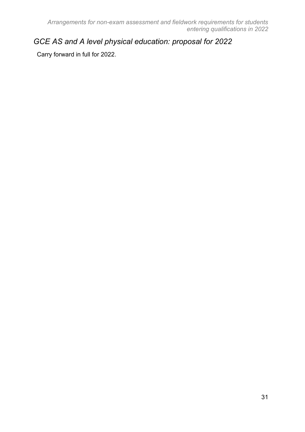### *GCE AS and A level physical education: proposal for 2022*

Carry forward in full for 2022.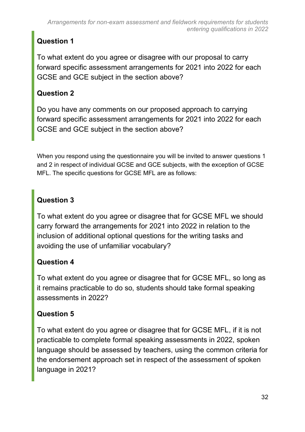### **Question 1**

To what extent do you agree or disagree with our proposal to carry forward specific assessment arrangements for 2021 into 2022 for each GCSE and GCE subject in the section above?

### **Question 2**

Do you have any comments on our proposed approach to carrying forward specific assessment arrangements for 2021 into 2022 for each GCSE and GCE subject in the section above?

When you respond using the questionnaire you will be invited to answer questions 1 and 2 in respect of individual GCSE and GCE subjects, with the exception of GCSE MFL. The specific questions for GCSE MFL are as follows:

### **Question 3**

To what extent do you agree or disagree that for GCSE MFL we should carry forward the arrangements for 2021 into 2022 in relation to the inclusion of additional optional questions for the writing tasks and avoiding the use of unfamiliar vocabulary?

### **Question 4**

To what extent do you agree or disagree that for GCSE MFL, so long as it remains practicable to do so, students should take formal speaking assessments in 2022?

### **Question 5**

To what extent do you agree or disagree that for GCSE MFL, if it is not practicable to complete formal speaking assessments in 2022, spoken language should be assessed by teachers, using the common criteria for the endorsement approach set in respect of the assessment of spoken language in 2021?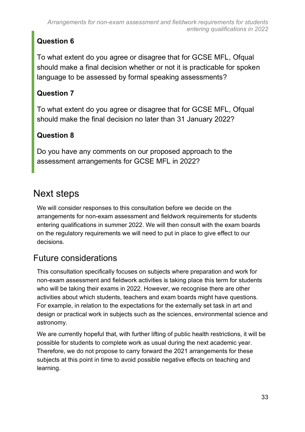### **Question 6**

To what extent do you agree or disagree that for GCSE MFL, Ofqual should make a final decision whether or not it is practicable for spoken language to be assessed by formal speaking assessments?

### **Question 7**

To what extent do you agree or disagree that for GCSE MFL, Ofqual should make the final decision no later than 31 January 2022?

### **Question 8**

Do you have any comments on our proposed approach to the assessment arrangements for GCSE MFL in 2022?

### <span id="page-32-0"></span>Next steps

We will consider responses to this consultation before we decide on the arrangements for non-exam assessment and fieldwork requirements for students entering qualifications in summer 2022. We will then consult with the exam boards on the regulatory requirements we will need to put in place to give effect to our decisions.

### Future considerations

This consultation specifically focuses on subjects where preparation and work for non-exam assessment and fieldwork activities is taking place this term for students who will be taking their exams in 2022. However, we recognise there are other activities about which students, teachers and exam boards might have questions. For example, in relation to the expectations for the externally set task in art and design or practical work in subjects such as the sciences, environmental science and astronomy.

We are currently hopeful that, with further lifting of public health restrictions, it will be possible for students to complete work as usual during the next academic year. Therefore, we do not propose to carry forward the 2021 arrangements for these subjects at this point in time to avoid possible negative effects on teaching and learning.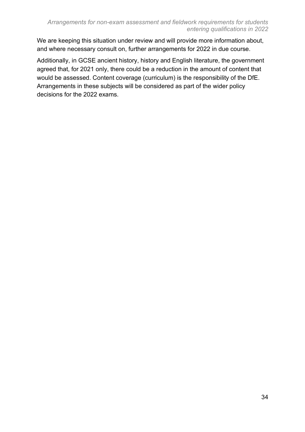We are keeping this situation under review and will provide more information about, and where necessary consult on, further arrangements for 2022 in due course.

Additionally, in GCSE ancient history, history and English literature, the government agreed that, for 2021 only, there could be a reduction in the amount of content that would be assessed. Content coverage (curriculum) is the responsibility of the DfE. Arrangements in these subjects will be considered as part of the wider policy decisions for the 2022 exams.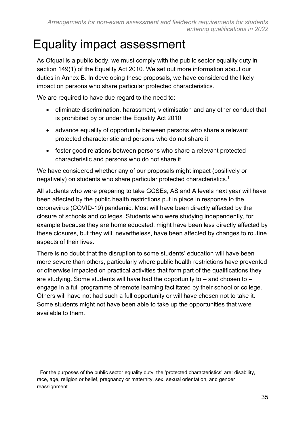## <span id="page-34-0"></span>Equality impact assessment

As Ofqual is a public body, we must comply with the public sector equality duty in section 149(1) of the Equality Act 2010. We set out more information about our duties in Annex B. In developing these proposals, we have considered the likely impact on persons who share particular protected characteristics.

We are required to have due regard to the need to:

- eliminate discrimination, harassment, victimisation and any other conduct that is prohibited by or under the Equality Act 2010
- advance equality of opportunity between persons who share a relevant protected characteristic and persons who do not share it
- foster good relations between persons who share a relevant protected characteristic and persons who do not share it

We have considered whether any of our proposals might impact (positively or negatively) on students who share particular protected characteristics.<sup>1</sup>

All students who were preparing to take GCSEs, AS and A levels next year will have been affected by the public health restrictions put in place in response to the coronavirus (COVID-19) pandemic. Most will have been directly affected by the closure of schools and colleges. Students who were studying independently, for example because they are home educated, might have been less directly affected by these closures, but they will, nevertheless, have been affected by changes to routine aspects of their lives.

There is no doubt that the disruption to some students' education will have been more severe than others, particularly where public health restrictions have prevented or otherwise impacted on practical activities that form part of the qualifications they are studying. Some students will have had the opportunity to  $-$  and chosen to  $$ engage in a full programme of remote learning facilitated by their school or college. Others will have not had such a full opportunity or will have chosen not to take it. Some students might not have been able to take up the opportunities that were available to them.

<sup>1</sup> For the purposes of the public sector equality duty, the 'protected characteristics' are: disability, race, age, religion or belief, pregnancy or maternity, sex, sexual orientation, and gender reassignment.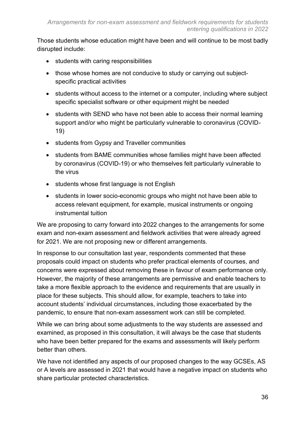Those students whose education might have been and will continue to be most badly disrupted include:

- students with caring responsibilities
- those whose homes are not conducive to study or carrying out subjectspecific practical activities
- students without access to the internet or a computer, including where subject specific specialist software or other equipment might be needed
- students with SEND who have not been able to access their normal learning support and/or who might be particularly vulnerable to coronavirus (COVID-19)
- students from Gypsy and Traveller communities
- students from BAME communities whose families might have been affected by coronavirus (COVID-19) or who themselves felt particularly vulnerable to the virus
- students whose first language is not English
- students in lower socio-economic groups who might not have been able to access relevant equipment, for example, musical instruments or ongoing instrumental tuition

We are proposing to carry forward into 2022 changes to the arrangements for some exam and non-exam assessment and fieldwork activities that were already agreed for 2021. We are not proposing new or different arrangements.

In response to our consultation last year, respondents commented that these proposals could impact on students who prefer practical elements of courses, and concerns were expressed about removing these in favour of exam performance only. However, the majority of these arrangements are permissive and enable teachers to take a more flexible approach to the evidence and requirements that are usually in place for these subjects. This should allow, for example, teachers to take into account students' individual circumstances, including those exacerbated by the pandemic, to ensure that non-exam assessment work can still be completed.

While we can bring about some adjustments to the way students are assessed and examined, as proposed in this consultation, it will always be the case that students who have been better prepared for the exams and assessments will likely perform better than others.

We have not identified any aspects of our proposed changes to the way GCSEs, AS or A levels are assessed in 2021 that would have a negative impact on students who share particular protected characteristics.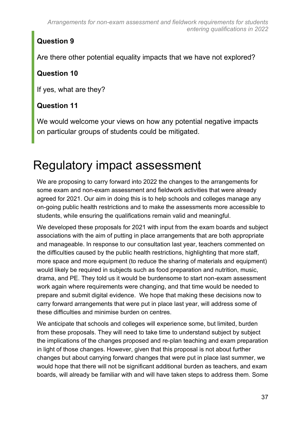### **Question 9**

Are there other potential equality impacts that we have not explored?

### **Question 10**

If yes, what are they?

### **Question 11**

We would welcome your views on how any potential negative impacts on particular groups of students could be mitigated.

# <span id="page-36-0"></span>Regulatory impact assessment

We are proposing to carry forward into 2022 the changes to the arrangements for some exam and non-exam assessment and fieldwork activities that were already agreed for 2021. Our aim in doing this is to help schools and colleges manage any on-going public health restrictions and to make the assessments more accessible to students, while ensuring the qualifications remain valid and meaningful.

We developed these proposals for 2021 with input from the exam boards and subject associations with the aim of putting in place arrangements that are both appropriate and manageable. In response to our consultation last year, teachers commented on the difficulties caused by the public health restrictions, highlighting that more staff, more space and more equipment (to reduce the sharing of materials and equipment) would likely be required in subjects such as food preparation and nutrition, music, drama, and PE. They told us it would be burdensome to start non-exam assessment work again where requirements were changing, and that time would be needed to prepare and submit digital evidence. We hope that making these decisions now to carry forward arrangements that were put in place last year, will address some of these difficulties and minimise burden on centres.

We anticipate that schools and colleges will experience some, but limited, burden from these proposals. They will need to take time to understand subject by subject the implications of the changes proposed and re-plan teaching and exam preparation in light of those changes. However, given that this proposal is not about further changes but about carrying forward changes that were put in place last summer, we would hope that there will not be significant additional burden as teachers, and exam boards, will already be familiar with and will have taken steps to address them. Some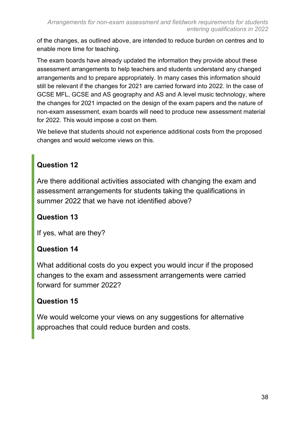of the changes, as outlined above, are intended to reduce burden on centres and to enable more time for teaching.

The exam boards have already updated the information they provide about these assessment arrangements to help teachers and students understand any changed arrangements and to prepare appropriately. In many cases this information should still be relevant if the changes for 2021 are carried forward into 2022. In the case of GCSE MFL, GCSE and AS geography and AS and A level music technology, where the changes for 2021 impacted on the design of the exam papers and the nature of non-exam assessment, exam boards will need to produce new assessment material for 2022. This would impose a cost on them.

We believe that students should not experience additional costs from the proposed changes and would welcome views on this.

### **Question 12**

Are there additional activities associated with changing the exam and assessment arrangements for students taking the qualifications in summer 2022 that we have not identified above?

### **Question 13**

If yes, what are they?

### **Question 14**

What additional costs do you expect you would incur if the proposed changes to the exam and assessment arrangements were carried forward for summer 2022?

### **Question 15**

We would welcome your views on any suggestions for alternative approaches that could reduce burden and costs.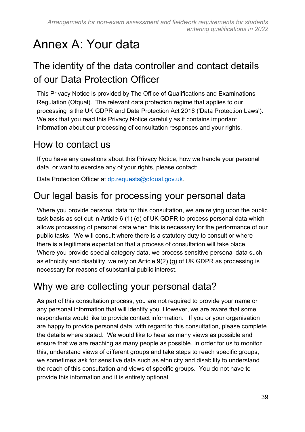# <span id="page-38-0"></span>Annex A: Your data

### <span id="page-38-1"></span>The identity of the data controller and contact details of our Data Protection Officer

This Privacy Notice is provided by The Office of Qualifications and Examinations Regulation (Ofqual). The relevant data protection regime that applies to our processing is the UK GDPR and Data Protection Act 2018 ('Data Protection Laws'). We ask that you read this Privacy Notice carefully as it contains important information about our processing of consultation responses and your rights.

### <span id="page-38-2"></span>How to contact us

If you have any questions about this Privacy Notice, how we handle your personal data, or want to exercise any of your rights, please contact:

Data Protection Officer at [dp.requests@ofqual.gov.uk.](mailto:dp.requests@ofqual.gov.uk)

### <span id="page-38-3"></span>Our legal basis for processing your personal data

Where you provide personal data for this consultation, we are relying upon the public task basis as set out in Article 6 (1) (e) of UK GDPR to process personal data which allows processing of personal data when this is necessary for the performance of our public tasks. We will consult where there is a statutory duty to consult or where there is a legitimate expectation that a process of consultation will take place. Where you provide special category data, we process sensitive personal data such as ethnicity and disability, we rely on Article 9(2) (g) of UK GDPR as processing is necessary for reasons of substantial public interest.

### <span id="page-38-4"></span>Why we are collecting your personal data?

As part of this consultation process, you are not required to provide your name or any personal information that will identify you. However, we are aware that some respondents would like to provide contact information. If you or your organisation are happy to provide personal data, with regard to this consultation, please complete the details where stated. We would like to hear as many views as possible and ensure that we are reaching as many people as possible. In order for us to monitor this, understand views of different groups and take steps to reach specific groups, we sometimes ask for sensitive data such as ethnicity and disability to understand the reach of this consultation and views of specific groups. You do not have to provide this information and it is entirely optional.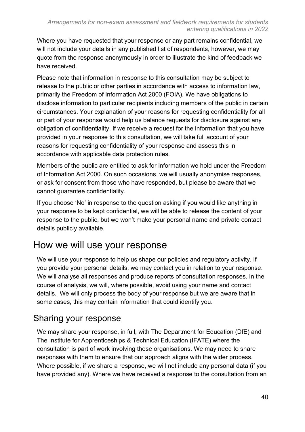Where you have requested that your response or any part remains confidential, we will not include your details in any published list of respondents, however, we may quote from the response anonymously in order to illustrate the kind of feedback we have received.

Please note that information in response to this consultation may be subject to release to the public or other parties in accordance with access to information law, primarily the Freedom of Information Act 2000 (FOIA). We have obligations to disclose information to particular recipients including members of the public in certain circumstances. Your explanation of your reasons for requesting confidentiality for all or part of your response would help us balance requests for disclosure against any obligation of confidentiality. If we receive a request for the information that you have provided in your response to this consultation, we will take full account of your reasons for requesting confidentiality of your response and assess this in accordance with applicable data protection rules.

Members of the public are entitled to ask for information we hold under the Freedom of Information Act 2000. On such occasions, we will usually anonymise responses, or ask for consent from those who have responded, but please be aware that we cannot guarantee confidentiality.

If you choose 'No' in response to the question asking if you would like anything in your response to be kept confidential, we will be able to release the content of your response to the public, but we won't make your personal name and private contact details publicly available.

### <span id="page-39-0"></span>How we will use your response

We will use your response to help us shape our policies and regulatory activity. If you provide your personal details, we may contact you in relation to your response. We will analyse all responses and produce reports of consultation responses. In the course of analysis, we will, where possible, avoid using your name and contact details. We will only process the body of your response but we are aware that in some cases, this may contain information that could identify you.

### Sharing your response

We may share your response, in full, with The Department for Education (DfE) and The Institute for Apprenticeships & Technical Education (IFATE) where the consultation is part of work involving those organisations. We may need to share responses with them to ensure that our approach aligns with the wider process. Where possible, if we share a response, we will not include any personal data (if you have provided any). Where we have received a response to the consultation from an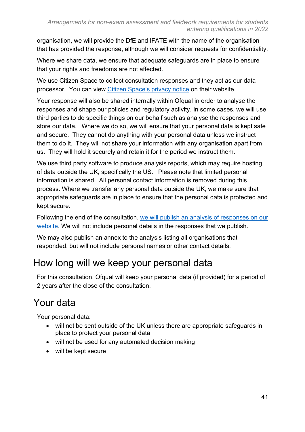organisation, we will provide the DfE and IFATE with the name of the organisation that has provided the response, although we will consider requests for confidentiality.

Where we share data, we ensure that adequate safeguards are in place to ensure that your rights and freedoms are not affected.

We use Citizen Space to collect consultation responses and they act as our data processor. You can view [Citizen Space's privacy notice](https://app.citizenspace.com/privacy_policy/) on their website.

Your response will also be shared internally within Ofqual in order to analyse the responses and shape our policies and regulatory activity. In some cases, we will use third parties to do specific things on our behalf such as analyse the responses and store our data. Where we do so, we will ensure that your personal data is kept safe and secure. They cannot do anything with your personal data unless we instruct them to do it. They will not share your information with any organisation apart from us. They will hold it securely and retain it for the period we instruct them.

We use third party software to produce analysis reports, which may require hosting of data outside the UK, specifically the US. Please note that limited personal information is shared. All personal contact information is removed during this process. Where we transfer any personal data outside the UK, we make sure that appropriate safeguards are in place to ensure that the personal data is protected and kept secure.

Following the end of the consultation, [we will publish an analysis of responses on our](https://www.gov.uk/government/organisations/ofqual)  [website.](https://www.gov.uk/government/organisations/ofqual) We will not include personal details in the responses that we publish.

We may also publish an annex to the analysis listing all organisations that responded, but will not include personal names or other contact details.

### <span id="page-40-0"></span>How long will we keep your personal data

For this consultation, Ofqual will keep your personal data (if provided) for a period of 2 years after the close of the consultation.

### <span id="page-40-1"></span>Your data

Your personal data:

- will not be sent outside of the UK unless there are appropriate safeguards in place to protect your personal data
- will not be used for any automated decision making
- will be kept secure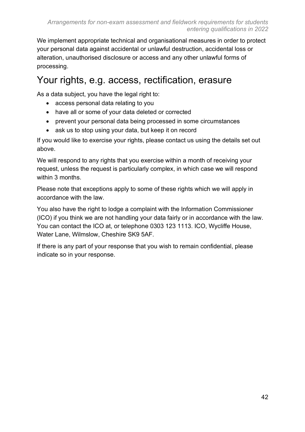We implement appropriate technical and organisational measures in order to protect your personal data against accidental or unlawful destruction, accidental loss or alteration, unauthorised disclosure or access and any other unlawful forms of processing.

### Your rights, e.g. access, rectification, erasure

As a data subject, you have the legal right to:

- access personal data relating to you
- have all or some of your data deleted or corrected
- prevent your personal data being processed in some circumstances
- ask us to stop using your data, but keep it on record

If you would like to exercise your rights, please contact us using the details set out above.

We will respond to any rights that you exercise within a month of receiving your request, unless the request is particularly complex, in which case we will respond within 3 months.

Please note that exceptions apply to some of these rights which we will apply in accordance with the law.

You also have the right to lodge a complaint with the Information Commissioner (ICO) if you think we are not handling your data fairly or in accordance with the law. You can contact the ICO at, or telephone 0303 123 1113. ICO, Wycliffe House, Water Lane, Wilmslow, Cheshire SK9 5AF.

If there is any part of your response that you wish to remain confidential, please indicate so in your response.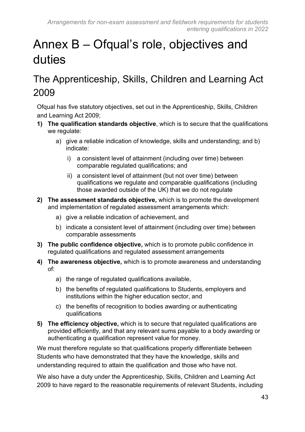# <span id="page-42-0"></span>Annex B – Ofqual's role, objectives and duties

### <span id="page-42-1"></span>The Apprenticeship, Skills, Children and Learning Act 2009

Ofqual has five statutory objectives, set out in the Apprenticeship, Skills, Children and Learning Act 2009;

- **1) The qualification standards objective**, which is to secure that the qualifications we regulate:
	- a) give a reliable indication of knowledge, skills and understanding; and b) indicate:
		- i) a consistent level of attainment (including over time) between comparable regulated qualifications; and
		- ii) a consistent level of attainment (but not over time) between qualifications we regulate and comparable qualifications (including those awarded outside of the UK) that we do not regulate
- **2) The assessment standards objective,** which is to promote the development and implementation of regulated assessment arrangements which:
	- a) give a reliable indication of achievement, and
	- b) indicate a consistent level of attainment (including over time) between comparable assessments
- **3) The public confidence objective,** which is to promote public confidence in regulated qualifications and regulated assessment arrangements
- **4) The awareness objective,** which is to promote awareness and understanding of:
	- a) the range of regulated qualifications available,
	- b) the benefits of regulated qualifications to Students, employers and institutions within the higher education sector, and
	- c) the benefits of recognition to bodies awarding or authenticating qualifications
- **5) The efficiency objective,** which is to secure that regulated qualifications are provided efficiently, and that any relevant sums payable to a body awarding or authenticating a qualification represent value for money.

We must therefore regulate so that qualifications properly differentiate between Students who have demonstrated that they have the knowledge, skills and understanding required to attain the qualification and those who have not.

We also have a duty under the Apprenticeship, Skills, Children and Learning Act 2009 to have regard to the reasonable requirements of relevant Students, including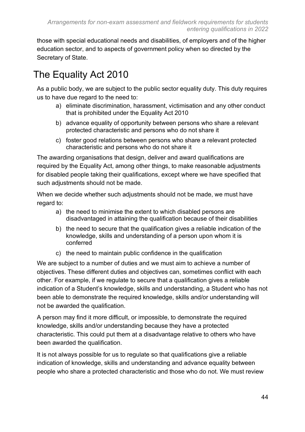those with special educational needs and disabilities, of employers and of the higher education sector, and to aspects of government policy when so directed by the Secretary of State.

### <span id="page-43-0"></span>The Equality Act 2010

As a public body, we are subiect to the public sector equality duty. This duty requires us to have due regard to the need to:

- a) eliminate discrimination, harassment, victimisation and any other conduct that is prohibited under the Equality Act 2010
- b) advance equality of opportunity between persons who share a relevant protected characteristic and persons who do not share it
- c) foster good relations between persons who share a relevant protected characteristic and persons who do not share it

The awarding organisations that design, deliver and award qualifications are required by the Equality Act, among other things, to make reasonable adjustments for disabled people taking their qualifications, except where we have specified that such adjustments should not be made.

When we decide whether such adjustments should not be made, we must have regard to:

- a) the need to minimise the extent to which disabled persons are disadvantaged in attaining the qualification because of their disabilities
- b) the need to secure that the qualification gives a reliable indication of the knowledge, skills and understanding of a person upon whom it is conferred
- c) the need to maintain public confidence in the qualification

We are subject to a number of duties and we must aim to achieve a number of objectives. These different duties and objectives can, sometimes conflict with each other. For example, if we regulate to secure that a qualification gives a reliable indication of a Student's knowledge, skills and understanding, a Student who has not been able to demonstrate the required knowledge, skills and/or understanding will not be awarded the qualification.

A person may find it more difficult, or impossible, to demonstrate the required knowledge, skills and/or understanding because they have a protected characteristic. This could put them at a disadvantage relative to others who have been awarded the qualification.

It is not always possible for us to regulate so that qualifications give a reliable indication of knowledge, skills and understanding and advance equality between people who share a protected characteristic and those who do not. We must review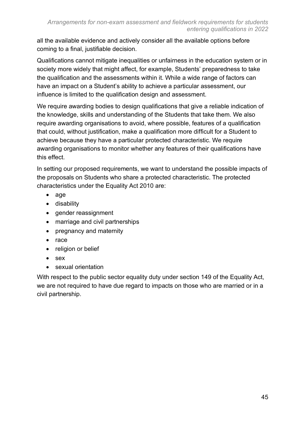all the available evidence and actively consider all the available options before coming to a final, justifiable decision.

Qualifications cannot mitigate inequalities or unfairness in the education system or in society more widely that might affect, for example, Students' preparedness to take the qualification and the assessments within it. While a wide range of factors can have an impact on a Student's ability to achieve a particular assessment, our influence is limited to the qualification design and assessment.

We require awarding bodies to design qualifications that give a reliable indication of the knowledge, skills and understanding of the Students that take them. We also require awarding organisations to avoid, where possible, features of a qualification that could, without justification, make a qualification more difficult for a Student to achieve because they have a particular protected characteristic. We require awarding organisations to monitor whether any features of their qualifications have this effect.

In setting our proposed requirements, we want to understand the possible impacts of the proposals on Students who share a protected characteristic. The protected characteristics under the Equality Act 2010 are:

- age
- disability
- gender reassignment
- marriage and civil partnerships
- pregnancy and maternity
- race
- religion or belief
- sex
- sexual orientation

With respect to the public sector equality duty under section 149 of the Equality Act, we are not required to have due regard to impacts on those who are married or in a civil partnership.